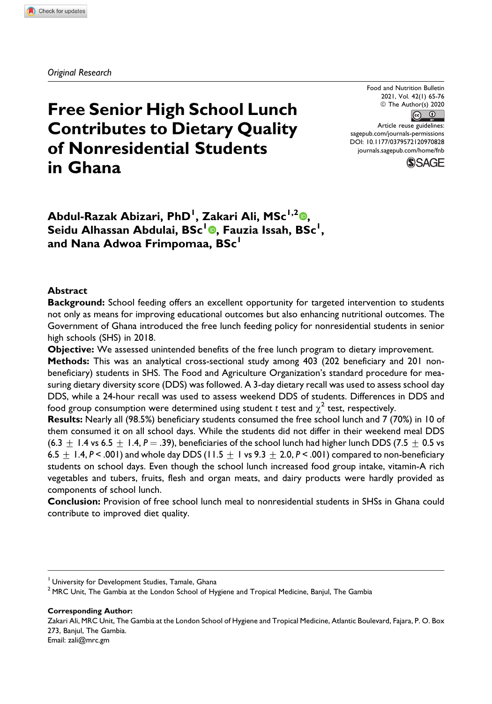*Original Research*

# **Free Senior High School Lunch Contributes to Dietary Quality of Nonresidential Students in Ghana**

Food and Nutrition Bulletin 2021, Vol. 42(1) 65-76 © The Author(s) 2020  $\boxed{6}$   $\boxed{0}$ Article reuse guidelines: [sagepub.com/journals-permissions](https://sagepub.com/journals-permissions) [DOI: 10.1177/0379572120970828](https://doi.org/10.1177/0379572120970828) [journals.sagepub.com/home/fnb](http://journals.sagepub.com/home/fnb)



**Abdul-Razak Abizari, PhD<sup>1</sup> , Zakari Ali, MSc1,2 [,](https://orcid.org/0000-0002-8129-2230) Seidu Alhassan Abdulai, BSc<sup>1</sup> , Fauzia Issah, BSc<sup>1</sup> , and Nana Adwoa Frimpomaa, BSc<sup>1</sup>**

#### **Abstract**

**Background:** School feeding offers an excellent opportunity for targeted intervention to students not only as means for improving educational outcomes but also enhancing nutritional outcomes. The Government of Ghana introduced the free lunch feeding policy for nonresidential students in senior high schools (SHS) in 2018.

**Objective:** We assessed unintended benefits of the free lunch program to dietary improvement.

**Methods:** This was an analytical cross-sectional study among 403 (202 beneficiary and 201 nonbeneficiary) students in SHS. The Food and Agriculture Organization's standard procedure for measuring dietary diversity score (DDS) was followed. A 3-day dietary recall was used to assess school day DDS, while a 24-hour recall was used to assess weekend DDS of students. Differences in DDS and food group consumption were determined using student  $t$  test and  $\chi^2$  test, respectively.

**Results:** Nearly all (98.5%) beneficiary students consumed the free school lunch and 7 (70%) in 10 of them consumed it on all school days. While the students did not differ in their weekend meal DDS (6.3  $\pm$  1.4 vs 6.5  $\pm$  1.4, P = .39), beneficiaries of the school lunch had higher lunch DDS (7.5  $\pm$  0.5 vs 6.5  $\pm$  1.4,  $P <$  .001) and whole day DDS (11.5  $\pm$  1 vs 9.3  $\pm$  2.0,  $P <$  .001) compared to non-beneficiary students on school days. Even though the school lunch increased food group intake, vitamin-A rich vegetables and tubers, fruits, flesh and organ meats, and dairy products were hardly provided as components of school lunch.

**Conclusion:** Provision of free school lunch meal to nonresidential students in SHSs in Ghana could contribute to improved diet quality.

**Corresponding Author:**

Zakari Ali, MRC Unit, The Gambia at the London School of Hygiene and Tropical Medicine, Atlantic Boulevard, Fajara, P. O. Box 273, Banjul, The Gambia. Email: [zali@mrc.gm](mailto:zali@mrc.gm)

<sup>&</sup>lt;sup>1</sup> University for Development Studies, Tamale, Ghana

 $<sup>2</sup>$  MRC Unit, The Gambia at the London School of Hygiene and Tropical Medicine, Banjul, The Gambia</sup>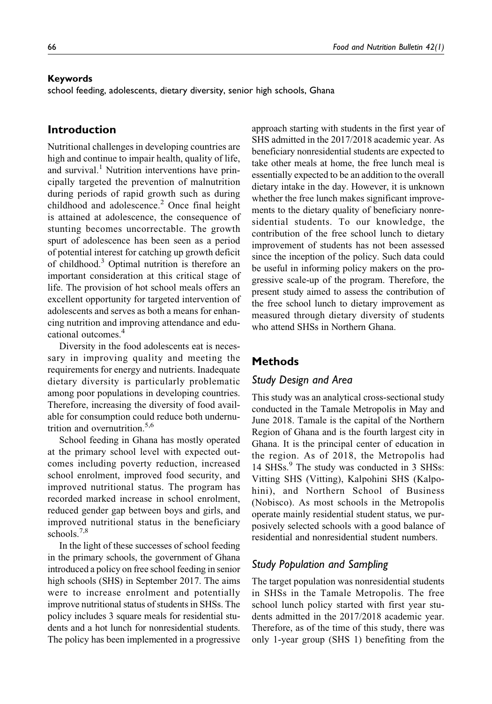#### **Keywords**

school feeding, adolescents, dietary diversity, senior high schools, Ghana

## **Introduction**

Nutritional challenges in developing countries are high and continue to impair health, quality of life, and survival.<sup>1</sup> Nutrition interventions have principally targeted the prevention of malnutrition during periods of rapid growth such as during childhood and adolescence.<sup>2</sup> Once final height is attained at adolescence, the consequence of stunting becomes uncorrectable. The growth spurt of adolescence has been seen as a period of potential interest for catching up growth deficit of childhood.<sup>3</sup> Optimal nutrition is therefore an important consideration at this critical stage of life. The provision of hot school meals offers an excellent opportunity for targeted intervention of adolescents and serves as both a means for enhancing nutrition and improving attendance and educational outcomes.4

Diversity in the food adolescents eat is necessary in improving quality and meeting the requirements for energy and nutrients. Inadequate dietary diversity is particularly problematic among poor populations in developing countries. Therefore, increasing the diversity of food available for consumption could reduce both undernutrition and overnutrition.<sup>5,6</sup>

School feeding in Ghana has mostly operated at the primary school level with expected outcomes including poverty reduction, increased school enrolment, improved food security, and improved nutritional status. The program has recorded marked increase in school enrolment, reduced gender gap between boys and girls, and improved nutritional status in the beneficiary schools.<sup>7,8</sup>

In the light of these successes of school feeding in the primary schools, the government of Ghana introduced a policy on free school feeding in senior high schools (SHS) in September 2017. The aims were to increase enrolment and potentially improve nutritional status of students in SHSs. The policy includes 3 square meals for residential students and a hot lunch for nonresidential students. The policy has been implemented in a progressive approach starting with students in the first year of SHS admitted in the 2017/2018 academic year. As beneficiary nonresidential students are expected to take other meals at home, the free lunch meal is essentially expected to be an addition to the overall dietary intake in the day. However, it is unknown whether the free lunch makes significant improvements to the dietary quality of beneficiary nonresidential students. To our knowledge, the contribution of the free school lunch to dietary improvement of students has not been assessed since the inception of the policy. Such data could be useful in informing policy makers on the progressive scale-up of the program. Therefore, the present study aimed to assess the contribution of the free school lunch to dietary improvement as measured through dietary diversity of students who attend SHSs in Northern Ghana.

### **Methods**

#### *Study Design and Area*

This study was an analytical cross-sectional study conducted in the Tamale Metropolis in May and June 2018. Tamale is the capital of the Northern Region of Ghana and is the fourth largest city in Ghana. It is the principal center of education in the region. As of 2018, the Metropolis had 14 SHSs.<sup>9</sup> The study was conducted in 3 SHSs: Vitting SHS (Vitting), Kalpohini SHS (Kalpohini), and Northern School of Business (Nobisco). As most schools in the Metropolis operate mainly residential student status, we purposively selected schools with a good balance of residential and nonresidential student numbers.

#### *Study Population and Sampling*

The target population was nonresidential students in SHSs in the Tamale Metropolis. The free school lunch policy started with first year students admitted in the 2017/2018 academic year. Therefore, as of the time of this study, there was only 1-year group (SHS 1) benefiting from the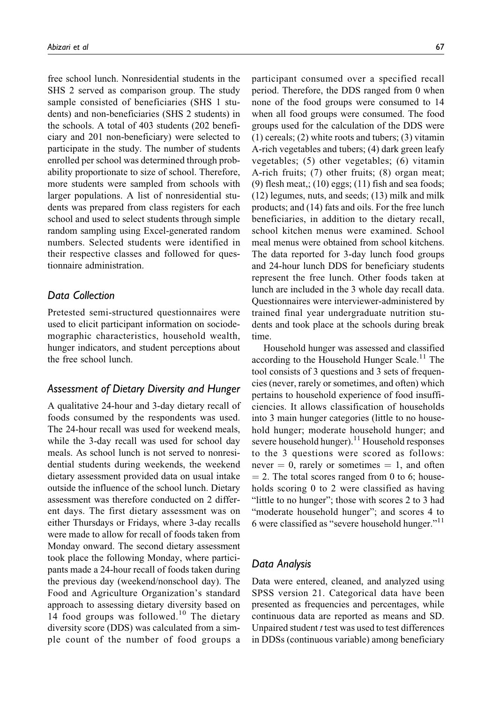free school lunch. Nonresidential students in the SHS 2 served as comparison group. The study sample consisted of beneficiaries (SHS 1 students) and non-beneficiaries (SHS 2 students) in the schools. A total of 403 students (202 beneficiary and 201 non-beneficiary) were selected to participate in the study. The number of students enrolled per school was determined through probability proportionate to size of school. Therefore, more students were sampled from schools with larger populations. A list of nonresidential students was prepared from class registers for each school and used to select students through simple random sampling using Excel-generated random numbers. Selected students were identified in their respective classes and followed for questionnaire administration.

### *Data Collection*

Pretested semi-structured questionnaires were used to elicit participant information on sociodemographic characteristics, household wealth, hunger indicators, and student perceptions about the free school lunch.

### *Assessment of Dietary Diversity and Hunger*

A qualitative 24-hour and 3-day dietary recall of foods consumed by the respondents was used. The 24-hour recall was used for weekend meals, while the 3-day recall was used for school day meals. As school lunch is not served to nonresidential students during weekends, the weekend dietary assessment provided data on usual intake outside the influence of the school lunch. Dietary assessment was therefore conducted on 2 different days. The first dietary assessment was on either Thursdays or Fridays, where 3-day recalls were made to allow for recall of foods taken from Monday onward. The second dietary assessment took place the following Monday, where participants made a 24-hour recall of foods taken during the previous day (weekend/nonschool day). The Food and Agriculture Organization's standard approach to assessing dietary diversity based on 14 food groups was followed.<sup>10</sup> The dietary diversity score (DDS) was calculated from a simple count of the number of food groups a

participant consumed over a specified recall period. Therefore, the DDS ranged from 0 when none of the food groups were consumed to 14 when all food groups were consumed. The food groups used for the calculation of the DDS were (1) cereals; (2) white roots and tubers; (3) vitamin A-rich vegetables and tubers; (4) dark green leafy vegetables; (5) other vegetables; (6) vitamin A-rich fruits; (7) other fruits; (8) organ meat; (9) flesh meat,;  $(10)$  eggs;  $(11)$  fish and sea foods; (12) legumes, nuts, and seeds; (13) milk and milk products; and (14) fats and oils. For the free lunch beneficiaries, in addition to the dietary recall, school kitchen menus were examined. School meal menus were obtained from school kitchens. The data reported for 3-day lunch food groups and 24-hour lunch DDS for beneficiary students represent the free lunch. Other foods taken at lunch are included in the 3 whole day recall data. Questionnaires were interviewer-administered by trained final year undergraduate nutrition students and took place at the schools during break time.

Household hunger was assessed and classified according to the Household Hunger Scale.<sup>11</sup> The tool consists of 3 questions and 3 sets of frequencies (never, rarely or sometimes, and often) which pertains to household experience of food insufficiencies. It allows classification of households into 3 main hunger categories (little to no household hunger; moderate household hunger; and severe household hunger).<sup>11</sup> Household responses to the 3 questions were scored as follows: never  $= 0$ , rarely or sometimes  $= 1$ , and often  $= 2$ . The total scores ranged from 0 to 6; households scoring 0 to 2 were classified as having "little to no hunger"; those with scores 2 to 3 had "moderate household hunger"; and scores 4 to 6 were classified as "severe household hunger."<sup>11</sup>

#### *Data Analysis*

Data were entered, cleaned, and analyzed using SPSS version 21. Categorical data have been presented as frequencies and percentages, while continuous data are reported as means and SD. Unpaired student t test was used to test differences in DDSs (continuous variable) among beneficiary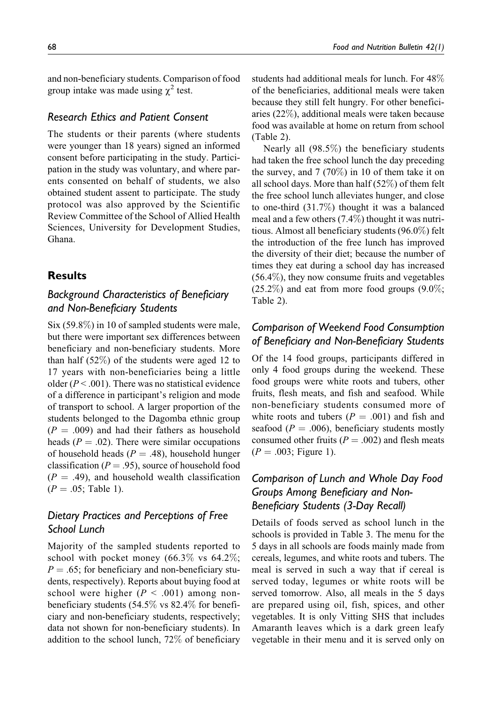and non-beneficiary students. Comparison of food group intake was made using  $\chi^2$  test.

### *Research Ethics and Patient Consent*

The students or their parents (where students were younger than 18 years) signed an informed consent before participating in the study. Participation in the study was voluntary, and where parents consented on behalf of students, we also obtained student assent to participate. The study protocol was also approved by the Scientific Review Committee of the School of Allied Health Sciences, University for Development Studies, Ghana.

### **Results**

# *Background Characteristics of Beneficiary and Non-Beneficiary Students*

Six (59.8%) in 10 of sampled students were male, but there were important sex differences between beneficiary and non-beneficiary students. More than half (52%) of the students were aged 12 to 17 years with non-beneficiaries being a little older ( $P < .001$ ). There was no statistical evidence of a difference in participant's religion and mode of transport to school. A larger proportion of the students belonged to the Dagomba ethnic group  $(P = .009)$  and had their fathers as household heads ( $P = .02$ ). There were similar occupations of household heads ( $P = .48$ ), household hunger classification ( $P = .95$ ), source of household food  $(P = .49)$ , and household wealth classification  $(P = .05;$  Table 1).

# *Dietary Practices and Perceptions of Free School Lunch*

Majority of the sampled students reported to school with pocket money (66.3% vs 64.2%;  $P = .65$ ; for beneficiary and non-beneficiary students, respectively). Reports about buying food at school were higher ( $P < .001$ ) among nonbeneficiary students (54.5% vs 82.4% for beneficiary and non-beneficiary students, respectively; data not shown for non-beneficiary students). In addition to the school lunch, 72% of beneficiary students had additional meals for lunch. For 48% of the beneficiaries, additional meals were taken because they still felt hungry. For other beneficiaries (22%), additional meals were taken because food was available at home on return from school (Table 2).

Nearly all (98.5%) the beneficiary students had taken the free school lunch the day preceding the survey, and 7 (70%) in 10 of them take it on all school days. More than half (52%) of them felt the free school lunch alleviates hunger, and close to one-third (31.7%) thought it was a balanced meal and a few others (7.4%) thought it was nutritious. Almost all beneficiary students (96.0%) felt the introduction of the free lunch has improved the diversity of their diet; because the number of times they eat during a school day has increased (56.4%), they now consume fruits and vegetables  $(25.2\%)$  and eat from more food groups  $(9.0\%;$ Table 2).

# *Comparison of Weekend Food Consumption of Beneficiary and Non-Beneficiary Students*

Of the 14 food groups, participants differed in only 4 food groups during the weekend. These food groups were white roots and tubers, other fruits, flesh meats, and fish and seafood. While non-beneficiary students consumed more of white roots and tubers  $(P = .001)$  and fish and seafood ( $P = .006$ ), beneficiary students mostly consumed other fruits ( $P = .002$ ) and flesh meats  $(P = .003;$  Figure 1).

# *Comparison of Lunch and Whole Day Food Groups Among Beneficiary and Non-Beneficiary Students (3-Day Recall)*

Details of foods served as school lunch in the schools is provided in Table 3. The menu for the 5 days in all schools are foods mainly made from cereals, legumes, and white roots and tubers. The meal is served in such a way that if cereal is served today, legumes or white roots will be served tomorrow. Also, all meals in the 5 days are prepared using oil, fish, spices, and other vegetables. It is only Vitting SHS that includes Amaranth leaves which is a dark green leafy vegetable in their menu and it is served only on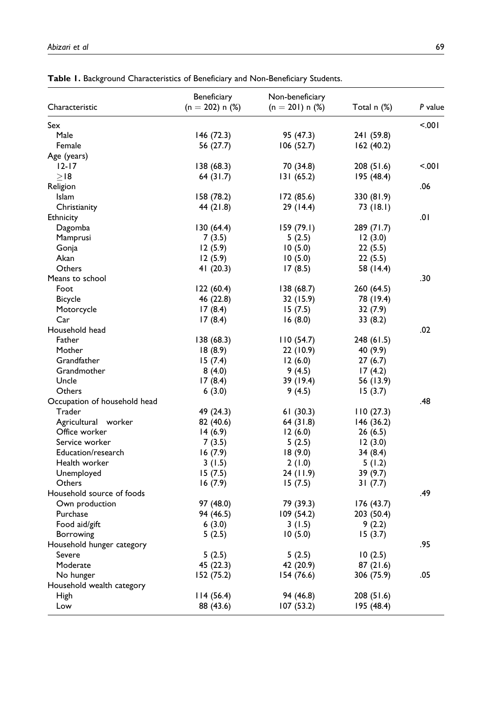| Characteristic               | Beneficiary<br>$(n = 202) n$ (%) | Non-beneficiary<br>$(n = 201)$ n $(\%)$ | Total n (%) | P value |
|------------------------------|----------------------------------|-----------------------------------------|-------------|---------|
|                              |                                  |                                         |             |         |
| Sex                          |                                  |                                         |             | < 0.001 |
| Male                         | 146(72.3)                        | 95 (47.3)                               | 241 (59.8)  |         |
| Female                       | 56 (27.7)                        | 106(52.7)                               | 162(40.2)   |         |
| Age (years)                  |                                  |                                         |             |         |
| $12 - 17$                    | 138(68.3)                        | 70 (34.8)                               | 208 (51.6)  | < 001   |
| $>$ 18                       | 64(31.7)                         | 131(65.2)                               | 195 (48.4)  |         |
| Religion                     |                                  |                                         |             | .06     |
| Islam                        | 158 (78.2)                       | 172 (85.6)                              | 330 (81.9)  |         |
| Christianity                 | 44 (21.8)                        | 29 (14.4)                               | 73 (18.1)   |         |
| Ethnicity                    |                                  |                                         |             | 0١.     |
| Dagomba                      | 130(64.4)                        | 159 (79.1)                              | 289 (71.7)  |         |
| Mamprusi                     | 7(3.5)                           | 5(2.5)                                  | 12(3.0)     |         |
| Gonja                        | 12(5.9)                          | 10(5.0)                                 | 22(5.5)     |         |
| Akan                         | 12(5.9)                          | 10(5.0)                                 | 22(5.5)     |         |
| Others                       | 41 (20.3)                        | 17(8.5)                                 | 58 (14.4)   |         |
| Means to school              |                                  |                                         |             | .30     |
| Foot                         | 122(60.4)                        | 138 (68.7)                              | 260 (64.5)  |         |
| <b>Bicycle</b>               | 46 (22.8)                        | 32 (15.9)                               | 78 (19.4)   |         |
| Motorcycle                   | 17(8.4)                          | 15(7.5)                                 | 32(7.9)     |         |
| Car                          | 17(8.4)                          | 16(8.0)                                 | 33(8.2)     |         |
| Household head               |                                  |                                         |             | .02     |
| Father                       | 138(68.3)                        | 110(54.7)                               | 248 (61.5)  |         |
| Mother                       | 18(8.9)                          | 22 (10.9)                               | 40 (9.9)    |         |
| Grandfather                  | 15(7.4)                          | 12(6.0)                                 | 27(6.7)     |         |
| Grandmother                  | 8(4.0)                           | 9(4.5)                                  | 17(4.2)     |         |
| Uncle                        | 17(8.4)                          | 39 (19.4)                               | 56 (13.9)   |         |
| Others                       |                                  | 9(4.5)                                  | 15(3.7)     |         |
|                              | 6(3.0)                           |                                         |             | .48     |
| Occupation of household head |                                  |                                         |             |         |
| Trader                       | 49 (24.3)                        | 61(30.3)                                | 110(27.3)   |         |
| Agricultural worker          | 82 (40.6)                        | 64(31.8)                                | 146 (36.2)  |         |
| Office worker                | 14(6.9)                          | 12(6.0)                                 | 26(6.5)     |         |
| Service worker               | 7(3.5)                           | 5(2.5)                                  | 12(3.0)     |         |
| Education/research           | 16(7.9)                          | 18(9.0)                                 | 34 (8.4)    |         |
| Health worker                | 3(1.5)                           | 2(1.0)                                  | 5(1.2)      |         |
| Unemployed                   | 15(7.5)                          | 24 (11.9)                               | 39 (9.7)    |         |
| Others                       | 16(7.9)                          | 15(7.5)                                 | 31(7.7)     |         |
| Household source of foods    |                                  |                                         |             | .49     |
| Own production               | 97 (48.0)                        | 79 (39.3)                               | 176 (43.7)  |         |
| Purchase                     | 94 (46.5)                        | 109 (54.2)                              | 203 (50.4)  |         |
| Food aid/gift                | 6(3.0)                           | 3(1.5)                                  | 9(2.2)      |         |
| <b>Borrowing</b>             | 5(2.5)                           | 10(5.0)                                 | 15(3.7)     |         |
| Household hunger category    |                                  |                                         |             | .95     |
| Severe                       | 5(2.5)                           | 5(2.5)                                  | 10(2.5)     |         |
| Moderate                     | 45 (22.3)                        | 42 (20.9)                               | 87(21.6)    |         |
| No hunger                    | 152 (75.2)                       | 154 (76.6)                              | 306 (75.9)  | .05     |
| Household wealth category    |                                  |                                         |             |         |
| High                         | 114(56.4)                        | 94 (46.8)                               | 208 (51.6)  |         |
| Low                          | 88 (43.6)                        | 107 (53.2)                              | 195 (48.4)  |         |

**Table 1.** Background Characteristics of Beneficiary and Non-Beneficiary Students.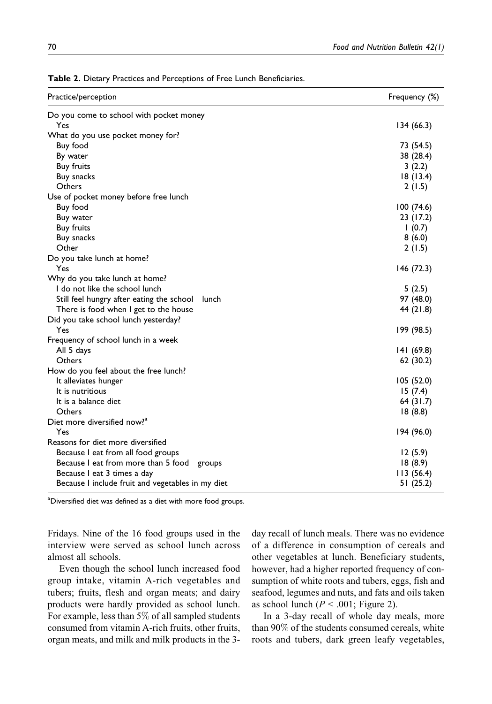| Do you come to school with pocket money<br>Yes<br>134(66.3)<br>What do you use pocket money for?<br>Buy food<br>73 (54.5)<br>By water<br>38 (28.4)<br><b>Buy fruits</b><br>3(2.2)<br>Buy snacks<br>18(13.4)<br>Others<br>2 (1.5)<br>Use of pocket money before free lunch<br>Buy food<br>100(74.6)<br>Buy water<br>23 (17.2)<br><b>Buy fruits</b><br>1(0.7)<br>Buy snacks<br>8(6.0)<br>Other<br>2(1.5)<br>Do you take lunch at home?<br>Yes<br>146 (72.3)<br>Why do you take lunch at home?<br>I do not like the school lunch<br>5(2.5)<br>Still feel hungry after eating the school<br>97 (48.0)<br>lunch<br>44 (21.8)<br>There is food when I get to the house<br>Did you take school lunch yesterday?<br>Yes<br>199 (98.5)<br>Frequency of school lunch in a week<br>All 5 days<br>141(69.8)<br>Others<br>62 (30.2)<br>How do you feel about the free lunch?<br>It alleviates hunger<br>105 (52.0)<br>It is nutritious<br>15(7.4)<br>It is a balance diet<br>64 (31.7)<br>Others<br>18(8.8)<br>Diet more diversified now? <sup>4</sup><br>Yes<br>194 (96.0)<br>Reasons for diet more diversified<br>Because I eat from all food groups<br>12(5.9)<br>Because I eat from more than 5 food groups<br>18(8.9)<br>Because I eat 3 times a day<br>113(56.4)<br>Because I include fruit and vegetables in my diet<br>51 (25.2) | Practice/perception | Frequency (%) |
|-----------------------------------------------------------------------------------------------------------------------------------------------------------------------------------------------------------------------------------------------------------------------------------------------------------------------------------------------------------------------------------------------------------------------------------------------------------------------------------------------------------------------------------------------------------------------------------------------------------------------------------------------------------------------------------------------------------------------------------------------------------------------------------------------------------------------------------------------------------------------------------------------------------------------------------------------------------------------------------------------------------------------------------------------------------------------------------------------------------------------------------------------------------------------------------------------------------------------------------------------------------------------------------------------------------------------------|---------------------|---------------|
|                                                                                                                                                                                                                                                                                                                                                                                                                                                                                                                                                                                                                                                                                                                                                                                                                                                                                                                                                                                                                                                                                                                                                                                                                                                                                                                             |                     |               |
|                                                                                                                                                                                                                                                                                                                                                                                                                                                                                                                                                                                                                                                                                                                                                                                                                                                                                                                                                                                                                                                                                                                                                                                                                                                                                                                             |                     |               |
|                                                                                                                                                                                                                                                                                                                                                                                                                                                                                                                                                                                                                                                                                                                                                                                                                                                                                                                                                                                                                                                                                                                                                                                                                                                                                                                             |                     |               |
|                                                                                                                                                                                                                                                                                                                                                                                                                                                                                                                                                                                                                                                                                                                                                                                                                                                                                                                                                                                                                                                                                                                                                                                                                                                                                                                             |                     |               |
|                                                                                                                                                                                                                                                                                                                                                                                                                                                                                                                                                                                                                                                                                                                                                                                                                                                                                                                                                                                                                                                                                                                                                                                                                                                                                                                             |                     |               |
|                                                                                                                                                                                                                                                                                                                                                                                                                                                                                                                                                                                                                                                                                                                                                                                                                                                                                                                                                                                                                                                                                                                                                                                                                                                                                                                             |                     |               |
|                                                                                                                                                                                                                                                                                                                                                                                                                                                                                                                                                                                                                                                                                                                                                                                                                                                                                                                                                                                                                                                                                                                                                                                                                                                                                                                             |                     |               |
|                                                                                                                                                                                                                                                                                                                                                                                                                                                                                                                                                                                                                                                                                                                                                                                                                                                                                                                                                                                                                                                                                                                                                                                                                                                                                                                             |                     |               |
|                                                                                                                                                                                                                                                                                                                                                                                                                                                                                                                                                                                                                                                                                                                                                                                                                                                                                                                                                                                                                                                                                                                                                                                                                                                                                                                             |                     |               |
|                                                                                                                                                                                                                                                                                                                                                                                                                                                                                                                                                                                                                                                                                                                                                                                                                                                                                                                                                                                                                                                                                                                                                                                                                                                                                                                             |                     |               |
|                                                                                                                                                                                                                                                                                                                                                                                                                                                                                                                                                                                                                                                                                                                                                                                                                                                                                                                                                                                                                                                                                                                                                                                                                                                                                                                             |                     |               |
|                                                                                                                                                                                                                                                                                                                                                                                                                                                                                                                                                                                                                                                                                                                                                                                                                                                                                                                                                                                                                                                                                                                                                                                                                                                                                                                             |                     |               |
|                                                                                                                                                                                                                                                                                                                                                                                                                                                                                                                                                                                                                                                                                                                                                                                                                                                                                                                                                                                                                                                                                                                                                                                                                                                                                                                             |                     |               |
|                                                                                                                                                                                                                                                                                                                                                                                                                                                                                                                                                                                                                                                                                                                                                                                                                                                                                                                                                                                                                                                                                                                                                                                                                                                                                                                             |                     |               |
|                                                                                                                                                                                                                                                                                                                                                                                                                                                                                                                                                                                                                                                                                                                                                                                                                                                                                                                                                                                                                                                                                                                                                                                                                                                                                                                             |                     |               |
|                                                                                                                                                                                                                                                                                                                                                                                                                                                                                                                                                                                                                                                                                                                                                                                                                                                                                                                                                                                                                                                                                                                                                                                                                                                                                                                             |                     |               |
|                                                                                                                                                                                                                                                                                                                                                                                                                                                                                                                                                                                                                                                                                                                                                                                                                                                                                                                                                                                                                                                                                                                                                                                                                                                                                                                             |                     |               |
|                                                                                                                                                                                                                                                                                                                                                                                                                                                                                                                                                                                                                                                                                                                                                                                                                                                                                                                                                                                                                                                                                                                                                                                                                                                                                                                             |                     |               |
|                                                                                                                                                                                                                                                                                                                                                                                                                                                                                                                                                                                                                                                                                                                                                                                                                                                                                                                                                                                                                                                                                                                                                                                                                                                                                                                             |                     |               |
|                                                                                                                                                                                                                                                                                                                                                                                                                                                                                                                                                                                                                                                                                                                                                                                                                                                                                                                                                                                                                                                                                                                                                                                                                                                                                                                             |                     |               |
|                                                                                                                                                                                                                                                                                                                                                                                                                                                                                                                                                                                                                                                                                                                                                                                                                                                                                                                                                                                                                                                                                                                                                                                                                                                                                                                             |                     |               |
|                                                                                                                                                                                                                                                                                                                                                                                                                                                                                                                                                                                                                                                                                                                                                                                                                                                                                                                                                                                                                                                                                                                                                                                                                                                                                                                             |                     |               |
|                                                                                                                                                                                                                                                                                                                                                                                                                                                                                                                                                                                                                                                                                                                                                                                                                                                                                                                                                                                                                                                                                                                                                                                                                                                                                                                             |                     |               |
|                                                                                                                                                                                                                                                                                                                                                                                                                                                                                                                                                                                                                                                                                                                                                                                                                                                                                                                                                                                                                                                                                                                                                                                                                                                                                                                             |                     |               |
|                                                                                                                                                                                                                                                                                                                                                                                                                                                                                                                                                                                                                                                                                                                                                                                                                                                                                                                                                                                                                                                                                                                                                                                                                                                                                                                             |                     |               |
|                                                                                                                                                                                                                                                                                                                                                                                                                                                                                                                                                                                                                                                                                                                                                                                                                                                                                                                                                                                                                                                                                                                                                                                                                                                                                                                             |                     |               |
|                                                                                                                                                                                                                                                                                                                                                                                                                                                                                                                                                                                                                                                                                                                                                                                                                                                                                                                                                                                                                                                                                                                                                                                                                                                                                                                             |                     |               |
|                                                                                                                                                                                                                                                                                                                                                                                                                                                                                                                                                                                                                                                                                                                                                                                                                                                                                                                                                                                                                                                                                                                                                                                                                                                                                                                             |                     |               |
|                                                                                                                                                                                                                                                                                                                                                                                                                                                                                                                                                                                                                                                                                                                                                                                                                                                                                                                                                                                                                                                                                                                                                                                                                                                                                                                             |                     |               |
|                                                                                                                                                                                                                                                                                                                                                                                                                                                                                                                                                                                                                                                                                                                                                                                                                                                                                                                                                                                                                                                                                                                                                                                                                                                                                                                             |                     |               |
|                                                                                                                                                                                                                                                                                                                                                                                                                                                                                                                                                                                                                                                                                                                                                                                                                                                                                                                                                                                                                                                                                                                                                                                                                                                                                                                             |                     |               |
|                                                                                                                                                                                                                                                                                                                                                                                                                                                                                                                                                                                                                                                                                                                                                                                                                                                                                                                                                                                                                                                                                                                                                                                                                                                                                                                             |                     |               |
|                                                                                                                                                                                                                                                                                                                                                                                                                                                                                                                                                                                                                                                                                                                                                                                                                                                                                                                                                                                                                                                                                                                                                                                                                                                                                                                             |                     |               |
|                                                                                                                                                                                                                                                                                                                                                                                                                                                                                                                                                                                                                                                                                                                                                                                                                                                                                                                                                                                                                                                                                                                                                                                                                                                                                                                             |                     |               |
|                                                                                                                                                                                                                                                                                                                                                                                                                                                                                                                                                                                                                                                                                                                                                                                                                                                                                                                                                                                                                                                                                                                                                                                                                                                                                                                             |                     |               |
|                                                                                                                                                                                                                                                                                                                                                                                                                                                                                                                                                                                                                                                                                                                                                                                                                                                                                                                                                                                                                                                                                                                                                                                                                                                                                                                             |                     |               |
|                                                                                                                                                                                                                                                                                                                                                                                                                                                                                                                                                                                                                                                                                                                                                                                                                                                                                                                                                                                                                                                                                                                                                                                                                                                                                                                             |                     |               |

**Table 2.** Dietary Practices and Perceptions of Free Lunch Beneficiaries.

<sup>a</sup>Diversified diet was defined as a diet with more food groups.

Fridays. Nine of the 16 food groups used in the interview were served as school lunch across almost all schools.

Even though the school lunch increased food group intake, vitamin A-rich vegetables and tubers; fruits, flesh and organ meats; and dairy products were hardly provided as school lunch. For example, less than 5% of all sampled students consumed from vitamin A-rich fruits, other fruits, organ meats, and milk and milk products in the 3day recall of lunch meals. There was no evidence of a difference in consumption of cereals and other vegetables at lunch. Beneficiary students, however, had a higher reported frequency of consumption of white roots and tubers, eggs, fish and seafood, legumes and nuts, and fats and oils taken as school lunch ( $P < .001$ ; Figure 2).

In a 3-day recall of whole day meals, more than 90% of the students consumed cereals, white roots and tubers, dark green leafy vegetables,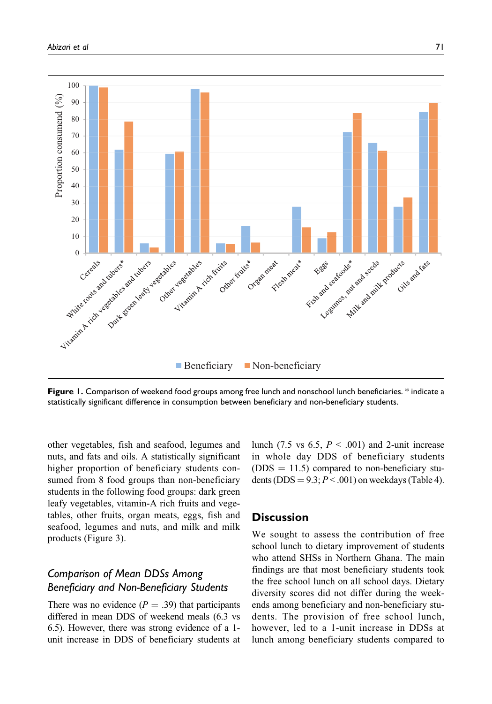

**Figure 1.** Comparison of weekend food groups among free lunch and nonschool lunch beneficiaries. \* indicate a statistically significant difference in consumption between beneficiary and non-beneficiary students.

other vegetables, fish and seafood, legumes and nuts, and fats and oils. A statistically significant higher proportion of beneficiary students consumed from 8 food groups than non-beneficiary students in the following food groups: dark green leafy vegetables, vitamin-A rich fruits and vegetables, other fruits, organ meats, eggs, fish and seafood, legumes and nuts, and milk and milk products (Figure 3).

# *Comparison of Mean DDSs Among Beneficiary and Non-Beneficiary Students*

There was no evidence  $(P = .39)$  that participants differed in mean DDS of weekend meals (6.3 vs 6.5). However, there was strong evidence of a 1 unit increase in DDS of beneficiary students at lunch (7.5 vs 6.5,  $P < .001$ ) and 2-unit increase in whole day DDS of beneficiary students  $(DDS = 11.5)$  compared to non-beneficiary students (DDS =  $9.3$ ;  $P < .001$ ) on weekdays (Table 4).

### **Discussion**

We sought to assess the contribution of free school lunch to dietary improvement of students who attend SHSs in Northern Ghana. The main findings are that most beneficiary students took the free school lunch on all school days. Dietary diversity scores did not differ during the weekends among beneficiary and non-beneficiary students. The provision of free school lunch, however, led to a 1-unit increase in DDSs at lunch among beneficiary students compared to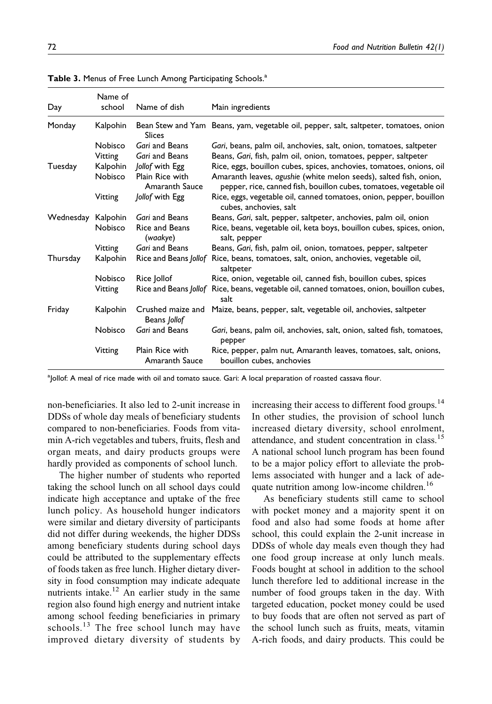| Day                | Name of<br>school   | Name of dish                                         | Main ingredients                                                                                                                                                                                                |
|--------------------|---------------------|------------------------------------------------------|-----------------------------------------------------------------------------------------------------------------------------------------------------------------------------------------------------------------|
| Monday             | Kalpohin            | <b>Slices</b>                                        | Bean Stew and Yam Beans, yam, vegetable oil, pepper, salt, saltpeter, tomatoes, onion                                                                                                                           |
|                    | Nobisco             | Gari and Beans                                       | Gari, beans, palm oil, anchovies, salt, onion, tomatoes, saltpeter                                                                                                                                              |
|                    | Vitting             | Gari and Beans                                       | Beans, Gari, fish, palm oil, onion, tomatoes, pepper, saltpeter                                                                                                                                                 |
| Tuesday            | Kalpohin<br>Nobisco | Jollof with Egg<br>Plain Rice with<br>Amaranth Sauce | Rice, eggs, bouillon cubes, spices, anchovies, tomatoes, onions, oil<br>Amaranth leaves, agushie (white melon seeds), salted fish, onion,<br>pepper, rice, canned fish, bouillon cubes, tomatoes, vegetable oil |
|                    | Vitting             | Jollof with Egg                                      | Rice, eggs, vegetable oil, canned tomatoes, onion, pepper, bouillon<br>cubes, anchovies, salt                                                                                                                   |
| Wednesday Kalpohin |                     | Gari and Beans                                       | Beans, Gari, salt, pepper, saltpeter, anchovies, palm oil, onion                                                                                                                                                |
|                    | Nobisco             | Rice and Beans<br>(waakye)                           | Rice, beans, vegetable oil, keta boys, bouillon cubes, spices, onion,<br>salt, pepper                                                                                                                           |
|                    | Vitting             | Gari and Beans                                       | Beans, Gari, fish, palm oil, onion, tomatoes, pepper, saltpeter                                                                                                                                                 |
| Thursday           | Kalpohin            | Rice and Beans Jollof                                | Rice, beans, tomatoes, salt, onion, anchovies, vegetable oil,<br>saltpeter                                                                                                                                      |
|                    | Nobisco             | Rice Jollof                                          | Rice, onion, vegetable oil, canned fish, bouillon cubes, spices                                                                                                                                                 |
|                    | Vitting             | Rice and Beans Jollof                                | Rice, beans, vegetable oil, canned tomatoes, onion, bouillon cubes,<br>salt                                                                                                                                     |
| Friday             | Kalpohin            | Crushed maize and<br>Beans Jollof                    | Maize, beans, pepper, salt, vegetable oil, anchovies, saltpeter                                                                                                                                                 |
|                    | Nobisco             | Gari and Beans                                       | Gari, beans, palm oil, anchovies, salt, onion, salted fish, tomatoes,<br>pepper                                                                                                                                 |
|                    | Vitting             | Plain Rice with<br>Amaranth Sauce                    | Rice, pepper, palm nut, Amaranth leaves, tomatoes, salt, onions,<br>bouillon cubes, anchovies                                                                                                                   |

Table 3. Menus of Free Lunch Among Participating Schools.<sup>a</sup>

<sup>a</sup>Jollof: A meal of rice made with oil and tomato sauce. Gari: A local preparation of roasted cassava flour.

non-beneficiaries. It also led to 2-unit increase in DDSs of whole day meals of beneficiary students compared to non-beneficiaries. Foods from vitamin A-rich vegetables and tubers, fruits, flesh and organ meats, and dairy products groups were hardly provided as components of school lunch.

The higher number of students who reported taking the school lunch on all school days could indicate high acceptance and uptake of the free lunch policy. As household hunger indicators were similar and dietary diversity of participants did not differ during weekends, the higher DDSs among beneficiary students during school days could be attributed to the supplementary effects of foods taken as free lunch. Higher dietary diversity in food consumption may indicate adequate nutrients intake.<sup>12</sup> An earlier study in the same region also found high energy and nutrient intake among school feeding beneficiaries in primary schools. $^{13}$  The free school lunch may have improved dietary diversity of students by increasing their access to different food groups.<sup>14</sup> In other studies, the provision of school lunch increased dietary diversity, school enrolment, attendance, and student concentration in class.<sup>15</sup> A national school lunch program has been found to be a major policy effort to alleviate the problems associated with hunger and a lack of adequate nutrition among low-income children.<sup>16</sup>

As beneficiary students still came to school with pocket money and a majority spent it on food and also had some foods at home after school, this could explain the 2-unit increase in DDSs of whole day meals even though they had one food group increase at only lunch meals. Foods bought at school in addition to the school lunch therefore led to additional increase in the number of food groups taken in the day. With targeted education, pocket money could be used to buy foods that are often not served as part of the school lunch such as fruits, meats, vitamin A-rich foods, and dairy products. This could be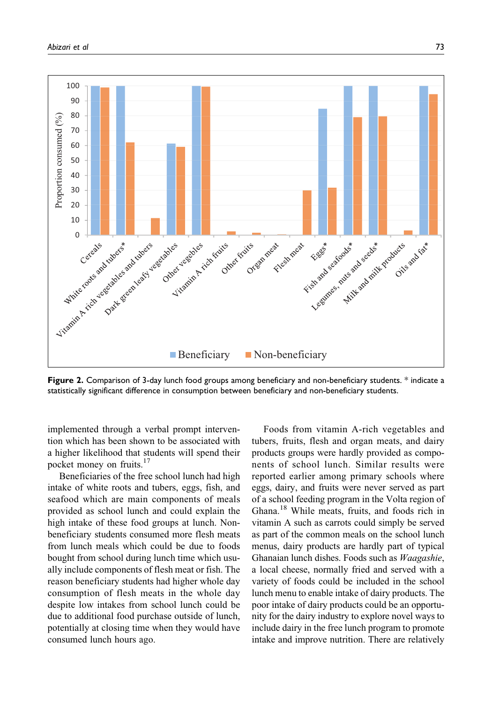

**Figure 2.** Comparison of 3-day lunch food groups among beneficiary and non-beneficiary students. \* indicate a statistically significant difference in consumption between beneficiary and non-beneficiary students.

implemented through a verbal prompt intervention which has been shown to be associated with a higher likelihood that students will spend their pocket money on fruits.<sup>17</sup>

Beneficiaries of the free school lunch had high intake of white roots and tubers, eggs, fish, and seafood which are main components of meals provided as school lunch and could explain the high intake of these food groups at lunch. Nonbeneficiary students consumed more flesh meats from lunch meals which could be due to foods bought from school during lunch time which usually include components of flesh meat or fish. The reason beneficiary students had higher whole day consumption of flesh meats in the whole day despite low intakes from school lunch could be due to additional food purchase outside of lunch, potentially at closing time when they would have consumed lunch hours ago.

Foods from vitamin A-rich vegetables and tubers, fruits, flesh and organ meats, and dairy products groups were hardly provided as components of school lunch. Similar results were reported earlier among primary schools where eggs, dairy, and fruits were never served as part of a school feeding program in the Volta region of Ghana.<sup>18</sup> While meats, fruits, and foods rich in vitamin A such as carrots could simply be served as part of the common meals on the school lunch menus, dairy products are hardly part of typical Ghanaian lunch dishes. Foods such as Waagashie, a local cheese, normally fried and served with a variety of foods could be included in the school lunch menu to enable intake of dairy products. The poor intake of dairy products could be an opportunity for the dairy industry to explore novel ways to include dairy in the free lunch program to promote intake and improve nutrition. There are relatively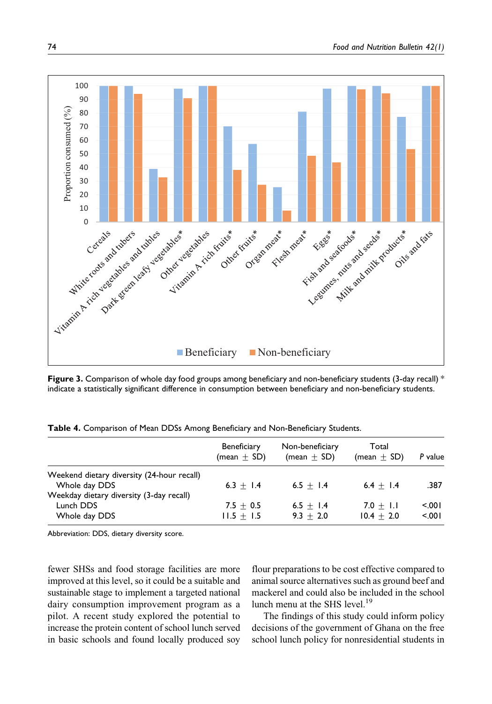

**Figure 3.** Comparison of whole day food groups among beneficiary and non-beneficiary students (3-day recall) \* indicate a statistically significant difference in consumption between beneficiary and non-beneficiary students.

|                                                                                                         | <b>Beneficiary</b><br>$(mean + SD)$ | Non-beneficiary<br>$(mean + SD)$ | Total<br>$(mean + SD)$        | P value        |
|---------------------------------------------------------------------------------------------------------|-------------------------------------|----------------------------------|-------------------------------|----------------|
| Weekend dietary diversity (24-hour recall)<br>Whole day DDS<br>Weekday dietary diversity (3-day recall) | $6.3 + 1.4$                         | $6.5 + 1.4$                      | $6.4 + 1.4$                   | .387           |
| Lunch DDS<br>Whole day DDS                                                                              | $7.5 + 0.5$<br>$11.5 + 1.5$         | $6.5 + 1.4$<br>$9.3 + 2.0$       | $7.0 + 1.1$<br>$10.4 \pm 2.0$ | 5.001<br>5.001 |

**Table 4.** Comparison of Mean DDSs Among Beneficiary and Non-Beneficiary Students.

Abbreviation: DDS, dietary diversity score.

fewer SHSs and food storage facilities are more improved at this level, so it could be a suitable and sustainable stage to implement a targeted national dairy consumption improvement program as a pilot. A recent study explored the potential to increase the protein content of school lunch served in basic schools and found locally produced soy

flour preparations to be cost effective compared to animal source alternatives such as ground beef and mackerel and could also be included in the school lunch menu at the SHS level.<sup>19</sup>

The findings of this study could inform policy decisions of the government of Ghana on the free school lunch policy for nonresidential students in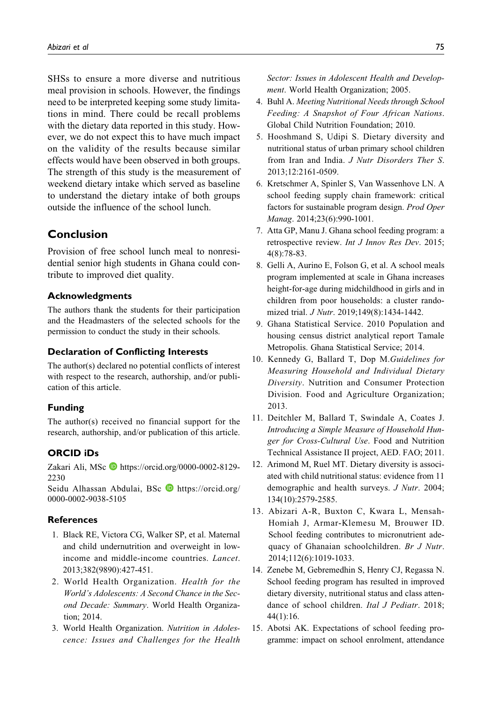SHSs to ensure a more diverse and nutritious meal provision in schools. However, the findings need to be interpreted keeping some study limitations in mind. There could be recall problems with the dietary data reported in this study. However, we do not expect this to have much impact on the validity of the results because similar effects would have been observed in both groups. The strength of this study is the measurement of weekend dietary intake which served as baseline to understand the dietary intake of both groups outside the influence of the school lunch.

## **Conclusion**

Provision of free school lunch meal to nonresidential senior high students in Ghana could contribute to improved diet quality.

#### **Acknowledgments**

The authors thank the students for their participation and the Headmasters of the selected schools for the permission to conduct the study in their schools.

#### **Declaration of Conflicting Interests**

The author(s) declared no potential conflicts of interest with respect to the research, authorship, and/or publication of this article.

#### **Funding**

The author(s) received no financial support for the research, authorship, and/or publication of this article.

### **ORCID iDs**

Zakari Ali, MSc [https://orcid.org/0000-0002-8129-](https://orcid.org/0000-0002-8129-2230) [2230](https://orcid.org/0000-0002-8129-2230)

Seidu Alhassan Abdulai, BSc D[https://orcid.org/](https://orcid.org/0000-0002-9038-5105) [0000-0002-9038-5105](https://orcid.org/0000-0002-9038-5105)

#### **References**

- 1. Black RE, Victora CG, Walker SP, et al. Maternal and child undernutrition and overweight in lowincome and middle-income countries. Lancet. 2013;382(9890):427-451.
- 2. World Health Organization. Health for the World's Adolescents: A Second Chance in the Second Decade: Summary. World Health Organization; 2014.
- 3. World Health Organization. Nutrition in Adolescence: Issues and Challenges for the Health

Sector: Issues in Adolescent Health and Development. World Health Organization; 2005.

- 4. Buhl A. Meeting Nutritional Needs through School Feeding: A Snapshot of Four African Nations. Global Child Nutrition Foundation; 2010.
- 5. Hooshmand S, Udipi S. Dietary diversity and nutritional status of urban primary school children from Iran and India. J Nutr Disorders Ther S. 2013;12:2161-0509.
- 6. Kretschmer A, Spinler S, Van Wassenhove LN. A school feeding supply chain framework: critical factors for sustainable program design. Prod Oper Manag. 2014;23(6):990-1001.
- 7. Atta GP, Manu J. Ghana school feeding program: a retrospective review. Int J Innov Res Dev. 2015; 4(8):78-83.
- 8. Gelli A, Aurino E, Folson G, et al. A school meals program implemented at scale in Ghana increases height-for-age during midchildhood in girls and in children from poor households: a cluster randomized trial. *J Nutr*. 2019;149(8):1434-1442.
- 9. Ghana Statistical Service. 2010 Population and housing census district analytical report Tamale Metropolis. Ghana Statistical Service; 2014.
- 10. Kennedy G, Ballard T, Dop M.Guidelines for Measuring Household and Individual Dietary Diversity. Nutrition and Consumer Protection Division. Food and Agriculture Organization; 2013.
- 11. Deitchler M, Ballard T, Swindale A, Coates J. Introducing a Simple Measure of Household Hunger for Cross-Cultural Use. Food and Nutrition Technical Assistance II project, AED. FAO; 2011.
- 12. Arimond M, Ruel MT. Dietary diversity is associated with child nutritional status: evidence from 11 demographic and health surveys. *J Nutr*. 2004; 134(10):2579-2585.
- 13. Abizari A-R, Buxton C, Kwara L, Mensah-Homiah J, Armar-Klemesu M, Brouwer ID. School feeding contributes to micronutrient adequacy of Ghanaian schoolchildren. Br J Nutr. 2014;112(6):1019-1033.
- 14. Zenebe M, Gebremedhin S, Henry CJ, Regassa N. School feeding program has resulted in improved dietary diversity, nutritional status and class attendance of school children. Ital J Pediatr. 2018; 44(1):16.
- 15. Abotsi AK. Expectations of school feeding programme: impact on school enrolment, attendance